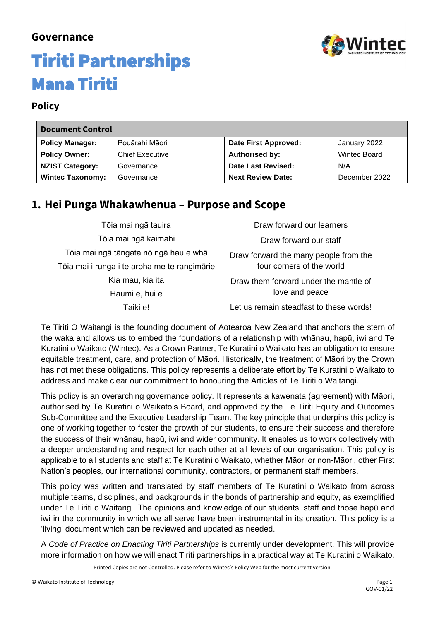# winted

### **Governance**

## Tiriti Partnerships Mana Tiriti

#### **Policy**

| <b>Document Control</b> |                        |                          |               |
|-------------------------|------------------------|--------------------------|---------------|
| <b>Policy Manager:</b>  | Pouārahi Māori         | Date First Approved:     | January 2022  |
| <b>Policy Owner:</b>    | <b>Chief Executive</b> | <b>Authorised by:</b>    | Wintec Board  |
| <b>NZIST Category:</b>  | Governance             | Date Last Revised:       | N/A           |
| <b>Wintec Taxonomy:</b> | Governance             | <b>Next Review Date:</b> | December 2022 |

### **1. Hei Punga Whakawhenua – Purpose and Scope**

| Tōia mai ngā tauira                          | Draw forward our learners               |
|----------------------------------------------|-----------------------------------------|
| Tōia mai ngā kaimahi                         | Draw forward our staff                  |
| Tōia mai ngā tāngata nō ngā hau e whā        | Draw forward the many people from the   |
| Tõia mai i runga i te aroha me te rangimārie | four corners of the world               |
| Kia mau, kia ita                             | Draw them forward under the mantle of   |
| Haumi e, hui e                               | love and peace                          |
| Taiki e!                                     | Let us remain steadfast to these words! |

Te Tiriti O Waitangi is the founding document of Aotearoa New Zealand that anchors the stern of the waka and allows us to embed the foundations of a relationship with whānau, hapū, iwi and Te Kuratini o Waikato (Wintec). As a Crown Partner, Te Kuratini o Waikato has an obligation to ensure equitable treatment, care, and protection of Māori. Historically, the treatment of Māori by the Crown has not met these obligations. This policy represents a deliberate effort by Te Kuratini o Waikato to address and make clear our commitment to honouring the Articles of Te Tiriti o Waitangi.

This policy is an overarching governance policy. It represents a kawenata (agreement) with Māori, authorised by Te Kuratini o Waikato's Board, and approved by the Te Tiriti Equity and Outcomes Sub-Committee and the Executive Leadership Team. The key principle that underpins this policy is one of working together to foster the growth of our students, to ensure their success and therefore the success of their whānau, hapū, iwi and wider community. It enables us to work collectively with a deeper understanding and respect for each other at all levels of our organisation. This policy is applicable to all students and staff at Te Kuratini o Waikato, whether Māori or non-Māori, other First Nation's peoples, our international community, contractors, or permanent staff members.

This policy was written and translated by staff members of Te Kuratini o Waikato from across multiple teams, disciplines, and backgrounds in the bonds of partnership and equity, as exemplified under Te Tiriti o Waitangi. The opinions and knowledge of our students, staff and those hapū and iwi in the community in which we all serve have been instrumental in its creation. This policy is a 'living' document which can be reviewed and updated as needed.

A *Code of Practice on Enacting Tiriti Partnerships* is currently under development. This will provide more information on how we will enact Tiriti partnerships in a practical way at Te Kuratini o Waikato.

Printed Copies are not Controlled. Please refer to Wintec's Policy Web for the most current version.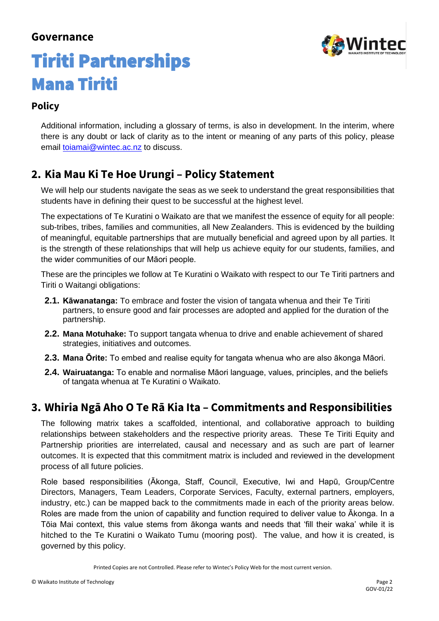

## Tiriti Partnerships Mana Tiriti

### **Policy**

Additional information, including a glossary of terms, is also in development. In the interim, where there is any doubt or lack of clarity as to the intent or meaning of any parts of this policy, please email [toiamai@wintec.ac.nz](mailto:toiamai@wintec.ac.nz) to discuss.

### **2. Kia Mau Ki Te Hoe Urungi – Policy Statement**

We will help our students navigate the seas as we seek to understand the great responsibilities that students have in defining their quest to be successful at the highest level.

The expectations of Te Kuratini o Waikato are that we manifest the essence of equity for all people: sub-tribes, tribes, families and communities, all New Zealanders. This is evidenced by the building of meaningful, equitable partnerships that are mutually beneficial and agreed upon by all parties. It is the strength of these relationships that will help us achieve equity for our students, families, and the wider communities of our Māori people.

These are the principles we follow at Te Kuratini o Waikato with respect to our Te Tiriti partners and Tiriti o Waitangi obligations:

- **2.1. Kāwanatanga:** To embrace and foster the vision of tangata whenua and their Te Tiriti partners, to ensure good and fair processes are adopted and applied for the duration of the partnership.
- **2.2. Mana Motuhake:** To support tangata whenua to drive and enable achievement of shared strategies, initiatives and outcomes.
- **2.3. Mana Ōrite:** To embed and realise equity for tangata whenua who are also ākonga Māori.
- **2.4. Wairuatanga:** To enable and normalise Māori language, values, principles, and the beliefs of tangata whenua at Te Kuratini o Waikato.

### **3. Whiria Ngā Aho O Te Rā Kia Ita – Commitments and Responsibilities**

The following matrix takes a scaffolded, intentional, and collaborative approach to building relationships between stakeholders and the respective priority areas. These Te Tiriti Equity and Partnership priorities are interrelated, causal and necessary and as such are part of learner outcomes. It is expected that this commitment matrix is included and reviewed in the development process of all future policies.

Role based responsibilities (Ākonga, Staff, Council, Executive, Iwi and Hapū, Group/Centre Directors, Managers, Team Leaders, Corporate Services, Faculty, external partners, employers, industry, etc.) can be mapped back to the commitments made in each of the priority areas below. Roles are made from the union of capability and function required to deliver value to Ākonga. In a Tōia Mai context, this value stems from ākonga wants and needs that 'fill their waka' while it is hitched to the Te Kuratini o Waikato Tumu (mooring post). The value, and how it is created, is governed by this policy.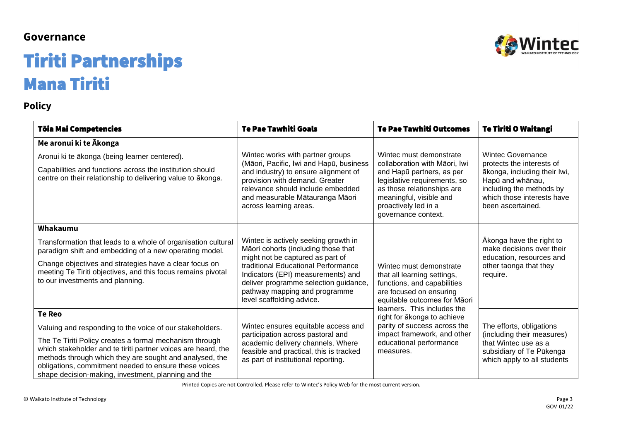## Tiriti Partnerships Mana Tiriti

### **Policy**

| Tōia Mai Competencies                                                                                                                                                                                                                                                                                                                                                            | <b>Te Pae Tawhiti Goals</b>                                                                                                                                                                                                                                                                         | <b>Te Pae Tawhiti Outcomes</b>                                                                                                                                                                                                | <b>Te Tiriti O Waitangi</b>                                                                                                                                                              |
|----------------------------------------------------------------------------------------------------------------------------------------------------------------------------------------------------------------------------------------------------------------------------------------------------------------------------------------------------------------------------------|-----------------------------------------------------------------------------------------------------------------------------------------------------------------------------------------------------------------------------------------------------------------------------------------------------|-------------------------------------------------------------------------------------------------------------------------------------------------------------------------------------------------------------------------------|------------------------------------------------------------------------------------------------------------------------------------------------------------------------------------------|
| Me aronui ki te Ākonga<br>Aronui ki te ākonga (being learner centered).<br>Capabilities and functions across the institution should<br>centre on their relationship to delivering value to ākonga.                                                                                                                                                                               | Wintec works with partner groups<br>(Māori, Pacific, Iwi and Hapū, business<br>and industry) to ensure alignment of<br>provision with demand. Greater<br>relevance should include embedded<br>and measurable Mātauranga Māori<br>across learning areas.                                             | Wintec must demonstrate<br>collaboration with Māori, Iwi<br>and Hapū partners, as per<br>legislative requirements, so<br>as those relationships are<br>meaningful, visible and<br>proactively led in a<br>governance context. | <b>Wintec Governance</b><br>protects the interests of<br>ākonga, including their Iwi,<br>Hapū and whānau,<br>including the methods by<br>which those interests have<br>been ascertained. |
| Whakaumu<br>Transformation that leads to a whole of organisation cultural<br>paradigm shift and embedding of a new operating model.<br>Change objectives and strategies have a clear focus on<br>meeting Te Tiriti objectives, and this focus remains pivotal<br>to our investments and planning.                                                                                | Wintec is actively seeking growth in<br>Māori cohorts (including those that<br>might not be captured as part of<br>traditional Educational Performance<br>Indicators (EPI) measurements) and<br>deliver programme selection guidance,<br>pathway mapping and programme<br>level scaffolding advice. | Wintec must demonstrate<br>that all learning settings,<br>functions, and capabilities<br>are focused on ensuring<br>equitable outcomes for Māori                                                                              | Ākonga have the right to<br>make decisions over their<br>education, resources and<br>other taonga that they<br>require.                                                                  |
| <b>Te Reo</b><br>Valuing and responding to the voice of our stakeholders.<br>The Te Tiriti Policy creates a formal mechanism through<br>which stakeholder and te tiriti partner voices are heard, the<br>methods through which they are sought and analysed, the<br>obligations, commitment needed to ensure these voices<br>shape decision-making, investment, planning and the | Wintec ensures equitable access and<br>participation across pastoral and<br>academic delivery channels. Where<br>feasible and practical, this is tracked<br>as part of institutional reporting.                                                                                                     | learners. This includes the<br>right for ākonga to achieve<br>parity of success across the<br>impact framework, and other<br>educational performance<br>measures.                                                             | The efforts, obligations<br>(including their measures)<br>that Wintec use as a<br>subsidiary of Te Pūkenga<br>which apply to all students                                                |

Printed Copies are not Controlled. Please refer to Wintec's Policy Web for the most current version.

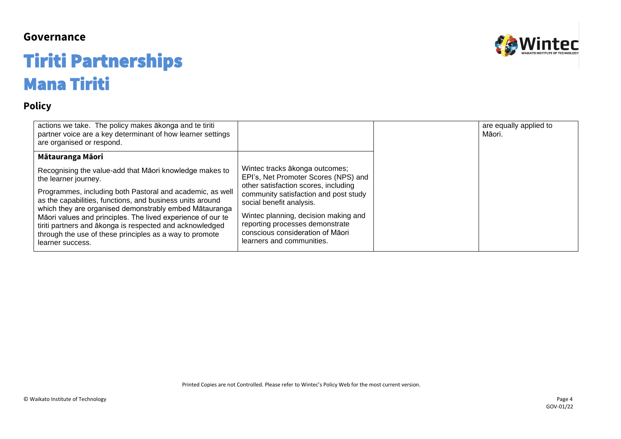## Tiriti Partnerships Mana Tiriti

### **Policy**

| actions we take. The policy makes akonga and te tiriti<br>partner voice are a key determinant of how learner settings<br>are organised or respond.                                                                                                                                                                                                                                                                                                                            |                                                                                                                                                                                                                                                                                                                                 | are equally applied to<br>Māori. |
|-------------------------------------------------------------------------------------------------------------------------------------------------------------------------------------------------------------------------------------------------------------------------------------------------------------------------------------------------------------------------------------------------------------------------------------------------------------------------------|---------------------------------------------------------------------------------------------------------------------------------------------------------------------------------------------------------------------------------------------------------------------------------------------------------------------------------|----------------------------------|
| Mātauranga Māori                                                                                                                                                                                                                                                                                                                                                                                                                                                              |                                                                                                                                                                                                                                                                                                                                 |                                  |
| Recognising the value-add that Māori knowledge makes to<br>the learner journey.<br>Programmes, including both Pastoral and academic, as well<br>as the capabilities, functions, and business units around<br>which they are organised demonstrably embed Mātauranga<br>Māori values and principles. The lived experience of our te<br>tiriti partners and ākonga is respected and acknowledged<br>through the use of these principles as a way to promote<br>learner success. | Wintec tracks ākonga outcomes;<br>EPI's, Net Promoter Scores (NPS) and<br>other satisfaction scores, including<br>community satisfaction and post study<br>social benefit analysis.<br>Wintec planning, decision making and<br>reporting processes demonstrate<br>conscious consideration of Māori<br>learners and communities. |                                  |



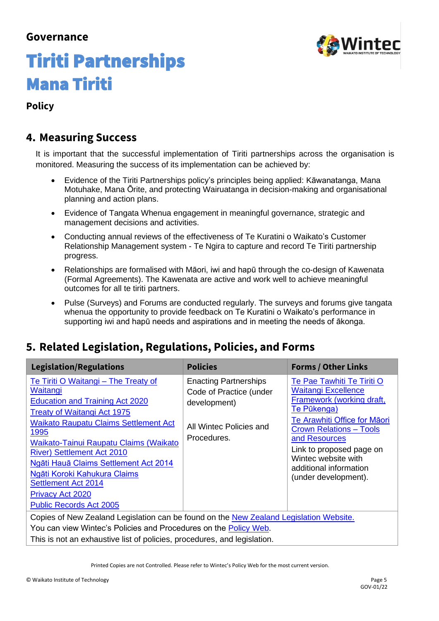

## Tiriti Partnerships Mana Tiriti

### **Policy**

### **4. Measuring Success**

It is important that the successful implementation of Tiriti partnerships across the organisation is monitored. Measuring the success of its implementation can be achieved by:

- Evidence of the Tiriti Partnerships policy's principles being applied: Kāwanatanga, Mana Motuhake, Mana Ōrite, and protecting Wairuatanga in decision-making and organisational planning and action plans.
- Evidence of Tangata Whenua engagement in meaningful governance, strategic and management decisions and activities.
- Conducting annual reviews of the effectiveness of Te Kuratini o Waikato's Customer Relationship Management system - Te Ngira to capture and record Te Tiriti partnership progress.
- Relationships are formalised with Māori, iwi and hapū through the co-design of Kawenata (Formal Agreements). The Kawenata are active and work well to achieve meaningful outcomes for all te tiriti partners.
- Pulse (Surveys) and Forums are conducted regularly. The surveys and forums give tangata whenua the opportunity to provide feedback on Te Kuratini o Waikato's performance in supporting iwi and hapū needs and aspirations and in meeting the needs of ākonga.

### **5. Related Legislation, Regulations, Policies, and Forms**

| <b>Legislation/Regulations</b>                                                                                                                                                                                                                                                                                                                                                                                                              | <b>Policies</b>                                                                                                   | <b>Forms / Other Links</b>                                                                                                                                                                                                                                                                   |
|---------------------------------------------------------------------------------------------------------------------------------------------------------------------------------------------------------------------------------------------------------------------------------------------------------------------------------------------------------------------------------------------------------------------------------------------|-------------------------------------------------------------------------------------------------------------------|----------------------------------------------------------------------------------------------------------------------------------------------------------------------------------------------------------------------------------------------------------------------------------------------|
| Te Tiriti O Waitangi – The Treaty of<br>Waitangi<br><b>Education and Training Act 2020</b><br><b>Treaty of Waitangi Act 1975</b><br><b>Waikato Raupatu Claims Settlement Act</b><br>1995<br>Waikato-Tainui Raupatu Claims (Waikato<br><b>River) Settlement Act 2010</b><br>Ngāti Hauā Claims Settlement Act 2014<br>Ngāti Koroki Kahukura Claims<br><b>Settlement Act 2014</b><br><b>Privacy Act 2020</b><br><b>Public Records Act 2005</b> | <b>Enacting Partnerships</b><br>Code of Practice (under<br>development)<br>All Wintec Policies and<br>Procedures. | Te Pae Tawhiti Te Tiriti O<br><b>Waitangi Excellence</b><br>Framework (working draft,<br>Te Pūkenga)<br>Te Arawhiti Office for Māori<br><b>Crown Relations - Tools</b><br>and Resources<br>Link to proposed page on<br>Wintec website with<br>additional information<br>(under development). |
| Copies of New Zealand Legislation can be found on the New Zealand Legislation Website.<br>You can view Wintec's Policies and Procedures on the Policy Web.                                                                                                                                                                                                                                                                                  |                                                                                                                   |                                                                                                                                                                                                                                                                                              |
| This is not an exhaustive list of policies, procedures, and legislation.                                                                                                                                                                                                                                                                                                                                                                    |                                                                                                                   |                                                                                                                                                                                                                                                                                              |

Printed Copies are not Controlled. Please refer to Wintec's Policy Web for the most current version.